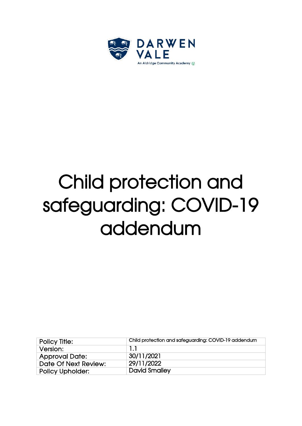

# Child protection and safeguarding: COVID-19 addendum

| <b>Policy Title:</b>    | Child protection and safeguarding: COVID-19 addendum |
|-------------------------|------------------------------------------------------|
| Version:                | -1-1                                                 |
| <b>Approval Date:</b>   | 30/11/2021                                           |
| Date Of Next Review:    | 29/11/2022                                           |
| <b>Policy Upholder:</b> | <b>David Smalley</b>                                 |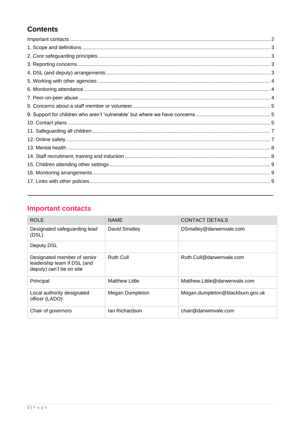## **Contents**

# <span id="page-1-0"></span>**Important contacts**

| <b>ROLE</b>                                                                            | <b>NAME</b>      | <b>CONTACT DETAILS</b>           |
|----------------------------------------------------------------------------------------|------------------|----------------------------------|
| Designated safeguarding lead<br>(DSL)                                                  | David Smalley    | DSmalley@darwenvale.com          |
| Deputy DSL                                                                             |                  |                                  |
| Designated member of senior<br>leadership team if DSL (and<br>deputy) can't be on site | <b>Ruth Cull</b> | Ruth.Cull@darwenvale.com         |
| Principal                                                                              | Matthew Little   | Matthew.Little@darwenvale.com    |
| Local authority designated<br>officer (LADO)                                           | Megan Dumpleton  | Megan.dumpleton@blackburn.gov.uk |
| Chair of governors                                                                     | Jan Richardson   | chair@darwenvale.com             |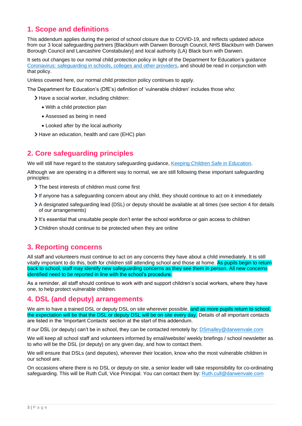## <span id="page-2-0"></span>**1. Scope and definitions**

This addendum applies during the period of school closure due to COVID-19, and reflects updated advice from our 3 local safeguarding partners [Blackburn with Darwen Borough Council, NHS Blackburn with Darwen Borough Council and Lancashire Constabulary] and local authority (LA) Black burn with Darwen.

It sets out changes to our normal child protection policy in light of the Department for Education's guidance [Coronavirus: safeguarding in schools, colleges and other providers,](https://www.gov.uk/government/publications/covid-19-safeguarding-in-schools-colleges-and-other-providers) and should be read in conjunction with that policy.

Unless covered here, our normal child protection policy continues to apply.

The Department for Education's (DfE's) definition of 'vulnerable children' includes those who:

> Have a social worker, including children:

- With a child protection plan
- Assessed as being in need
- Looked after by the local authority
- Have an education, health and care (EHC) plan

## <span id="page-2-1"></span>**2. Core safeguarding principles**

We will still have regard to the statutory safeguarding guidance, [Keeping Children Safe in Education.](https://www.gov.uk/government/publications/keeping-children-safe-in-education--2)

Although we are operating in a different way to normal, we are still following these important safeguarding principles:

- The best interests of children must come first
- If anyone has a safeguarding concern about any child, they should continue to act on it immediately
- A designated safeguarding lead (DSL) or deputy should be available at all times (see section 4 for details of our arrangements)
- It's essential that unsuitable people don't enter the school workforce or gain access to children
- Children should continue to be protected when they are online

## <span id="page-2-2"></span>**3. Reporting concerns**

All staff and volunteers must continue to act on any concerns they have about a child immediately. It is still vitally important to do this, both for children still attending school and those at home. As pupils begin to return back to school, staff may identify new safeguarding concerns as they see them in person. All new concerns identified need to be reported in line with the school's procedure.

As a reminder, all staff should continue to work with and support children's social workers, where they have one, to help protect vulnerable children.

## <span id="page-2-3"></span>**4. DSL (and deputy) arrangements**

We aim to have a trained DSL or deputy DSL on site wherever possible, and as more pupils return to school, the expectation will be that the DSL or deputy DSL will be on site every day. Details of all important contacts are listed in the 'Important Contacts' section at the start of this addendum.

If our DSL (or deputy) can't be in school, they can be contacted remotely by: [DSmalley@darwenvale.com](mailto:DSmalley@darwenvale.com)

We will keep all school staff and volunteers informed by email/website/ weekly briefings / school newsletter as to who will be the DSL (or deputy) on any given day, and how to contact them.

We will ensure that DSLs (and deputies), wherever their location, know who the most vulnerable children in our school are.

On occasions where there is no DSL or deputy on site, a senior leader will take responsibility for co-ordinating safeguarding. This will be Ruth Cull, Vice Principal. You can contact them by: [Ruth.cull@darwenvale.com](mailto:Ruth.cull@darwenvale.com)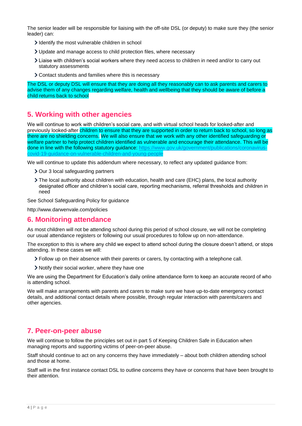The senior leader will be responsible for liaising with the off-site DSL (or deputy) to make sure they (the senior leader) can:

- Identify the most vulnerable children in school
- Update and manage access to child protection files, where necessary
- Liaise with children's social workers where they need access to children in need and/or to carry out statutory assessments
- Contact students and families where this is necessary

The DSL or deputy DSL will ensure that they are doing all they reasonably can to ask parents and carers to advise them of any changes regarding welfare, health and wellbeing that they should be aware of before a child returns back to school

## <span id="page-3-0"></span>**5. Working with other agencies**

We will continue to work with children's social care, and with virtual school heads for looked-after and previously looked-after children to ensure that they are supported in order to return back to school, so long as there are no shielding concerns. We will also ensure that we work with any other identified safeguarding or welfare partner to help protect children identified as vulnerable and encourage their attendance. This will be done in line with the following statutory quidance: [https://www.gov.uk/government/publications/coronavirus](https://www.gov.uk/government/publications/coronavirus-covid-19-guidance-on-vulnerable-children-and-young-people)[covid-19-guidance-on-vulnerable-children-and-young-people](https://www.gov.uk/government/publications/coronavirus-covid-19-guidance-on-vulnerable-children-and-young-people)

We will continue to update this addendum where necessary, to reflect any updated guidance from:

- > Our 3 local safeguarding partners
- The local authority about children with education, health and care (EHC) plans, the local authority designated officer and children's social care, reporting mechanisms, referral thresholds and children in need

See School Safeguarding Policy for guidance

http://www.darwenvale.com/policies

## <span id="page-3-1"></span>**6. Monitoring attendance**

As most children will not be attending school during this period of school closure, we will not be completing our usual attendance registers or following our usual procedures to follow up on non-attendance.

The exception to this is where any child we expect to attend school during the closure doesn't attend, or stops attending. In these cases we will:

- Follow up on their absence with their parents or carers, by contacting with a telephone call.
- Notify their social worker, where they have one

We are using the Department for Education's daily online attendance form to keep an accurate record of who is attending school.

We will make arrangements with parents and carers to make sure we have up-to-date emergency contact details, and additional contact details where possible, through regular interaction with parents/carers and other agencies.

## <span id="page-3-2"></span>**7. Peer-on-peer abuse**

We will continue to follow the principles set out in part 5 of Keeping Children Safe in Education when managing reports and supporting victims of peer-on-peer abuse.

Staff should continue to act on any concerns they have immediately – about both children attending school and those at home.

Staff will in the first instance contact DSL to outline concerns they have or concerns that have been brought to their attention.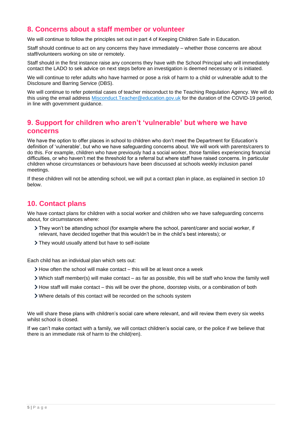## <span id="page-4-0"></span>**8. Concerns about a staff member or volunteer**

We will continue to follow the principles set out in part 4 of Keeping Children Safe in Education.

Staff should continue to act on any concerns they have immediately – whether those concerns are about staff/volunteers working on site or remotely.

Staff should in the first instance raise any concerns they have with the School Principal who will immediately contact the LADO to sek advice on next steps before an investigation is deemed necessary or is initiated.

We will continue to refer adults who have harmed or pose a risk of harm to a child or vulnerable adult to the Disclosure and Barring Service (DBS).

We will continue to refer potential cases of teacher misconduct to the Teaching Regulation Agency. We will do this using the email address [Misconduct.Teacher@education.gov.uk](mailto:Misconduct.Teacher@education.gov.uk) for the duration of the COVID-19 period, in line with government guidance.

## <span id="page-4-1"></span>**9. Support for children who aren't 'vulnerable' but where we have concerns**

We have the option to offer places in school to children who don't meet the Department for Education's definition of 'vulnerable', but who we have safeguarding concerns about. We will work with parents/carers to do this. For example, children who have previously had a social worker, those families experiencing financial difficulties, or who haven't met the threshold for a referral but where staff have raised concerns. In particular children whose circumstances or behaviours have been discussed at schools weekly inclusion panel meetings.

If these children will not be attending school, we will put a contact plan in place, as explained in section 10 below.

## <span id="page-4-2"></span>**10. Contact plans**

We have contact plans for children with a social worker and children who we have safeguarding concerns about, for circumstances where:

- They won't be attending school (for example where the school, parent/carer and social worker, if relevant, have decided together that this wouldn't be in the child's best interests); or
- They would usually attend but have to self-isolate

Each child has an individual plan which sets out:

- How often the school will make contact this will be at least once a week
- Which staff member(s) will make contact as far as possible, this will be staff who know the family well
- $\ge$  How staff will make contact this will be over the phone, doorstep visits, or a combination of both
- Where details of this contact will be recorded on the schools system

We will share these plans with children's social care where relevant, and will review them every six weeks whilst school is closed.

If we can't make contact with a family, we will contact children's social care, or the police if we believe that there is an immediate risk of harm to the child(ren).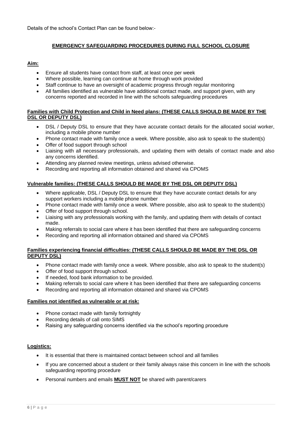Details of the school's Contact Plan can be found below:-

#### **EMERGENCY SAFEGUARDING PROCEDURES DURING FULL SCHOOL CLOSURE**

#### **Aim:**

- Ensure all students have contact from staff, at least once per week
- Where possible, learning can continue at home through work provided
- Staff continue to have an oversight of academic progress through regular monitoring
- All families identified as vulnerable have additional contact made, and support given, with any concerns reported and recorded in line with the schools safeguarding procedures

#### **Families with Child Protection and Child in Need plans: (THESE CALLS SHOULD BE MADE BY THE DSL OR DEPUTY DSL)**

- DSL / Deputy DSL to ensure that they have accurate contact details for the allocated social worker, including a mobile phone number
- Phone contact made with family once a week. Where possible, also ask to speak to the student(s)
- Offer of food support through school
- Liaising with all necessary professionals, and updating them with details of contact made and also any concerns identified.
- Attending any planned review meetings, unless advised otherwise.
- Recording and reporting all information obtained and shared via CPOMS

#### **Vulnerable families: (THESE CALLS SHOULD BE MADE BY THE DSL OR DEPUTY DSL)**

- Where applicable, DSL / Deputy DSL to ensure that they have accurate contact details for any support workers including a mobile phone number
- Phone contact made with family once a week. Where possible, also ask to speak to the student(s)
- Offer of food support through school.
- Liaising with any professionals working with the family, and updating them with details of contact made.
- Making referrals to social care where it has been identified that there are safeguarding concerns
- Recording and reporting all information obtained and shared via CPOMS

#### **Families experiencing financial difficulties: (THESE CALLS SHOULD BE MADE BY THE DSL OR DEPUTY DSL)**

- Phone contact made with family once a week. Where possible, also ask to speak to the student(s)
- Offer of food support through school.
- If needed, food bank information to be provided.
- Making referrals to social care where it has been identified that there are safeguarding concerns
- Recording and reporting all information obtained and shared via CPOMS

#### **Families not identified as vulnerable or at risk:**

- Phone contact made with family fortnightly
- Recording details of call onto SIMS
- Raising any safeguarding concerns identified via the school's reporting procedure

#### **Logistics:**

- It is essential that there is maintained contact between school and all families
- If you are concerned about a student or their family always raise this concern in line with the schools safeguarding reporting procedure
- Personal numbers and emails **MUST NOT** be shared with parent/carers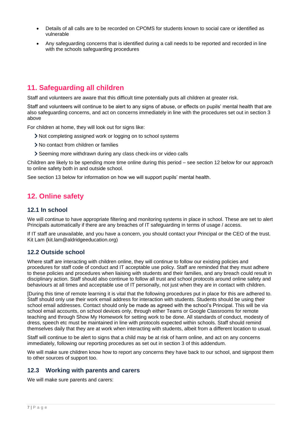- Details of all calls are to be recorded on CPOMS for students known to social care or identified as vulnerable
- Any safeguarding concerns that is identified during a call needs to be reported and recorded in line with the schools safeguarding procedures

## <span id="page-6-0"></span>**11. Safeguarding all children**

Staff and volunteers are aware that this difficult time potentially puts all children at greater risk.

Staff and volunteers will continue to be alert to any signs of abuse, or effects on pupils' mental health that are also safeguarding concerns, and act on concerns immediately in line with the procedures set out in section 3 above

For children at home, they will look out for signs like:

- Not completing assigned work or logging on to school systems
- > No contact from children or families
- Seeming more withdrawn during any class check-ins or video calls

Children are likely to be spending more time online during this period – see section 12 below for our approach to online safety both in and outside school.

See section 13 below for information on how we will support pupils' mental health.

## <span id="page-6-1"></span>**12. Online safety**

#### **12.1 In school**

We will continue to have appropriate filtering and monitoring systems in place in school. These are set to alert Principals automatically if there are any breaches of IT safeguarding in terms of usage / access.

If IT staff are unavailable, and you have a concern, you should contact your Principal or the CEO of the trust. Kit Lam (kit.lam@aldridgeeducation.org)

#### **12.2 Outside school**

Where staff are interacting with children online, they will continue to follow our existing policies and procedures for staff code of conduct and IT acceptable use policy. Staff are reminded that they must adhere to these policies and procedures when liaising with students and their families, and any breach could result in disciplinary action. Staff should also continue to follow all trust and school protocols around online safety and behaviours at all times and acceptable use of IT personally, not just when they are in contact with children.

[During this time of remote learning it is vital that the following procedures put in place for this are adhered to. Staff should only use their work email address for interaction with students. Students should be using their school email addresses. Contact should only be made as agreed with the school's Principal. This will be via school email accounts, on school devices only, through either Teams or Google Classrooms for remote teaching and through Show My Homework for setting work to be done. All standards of conduct, modesty of dress, speech etc must be maintained in line with protocols expected within schools. Staff should remind themselves daily that they are at work when interacting with students, albeit from a different location to usual.

Staff will continue to be alert to signs that a child may be at risk of harm online, and act on any concerns immediately, following our reporting procedures as set out in section 3 of this addendum.

We will make sure children know how to report any concerns they have back to our school, and signpost them to other sources of support too.

#### **12.3 Working with parents and carers**

We will make sure parents and carers: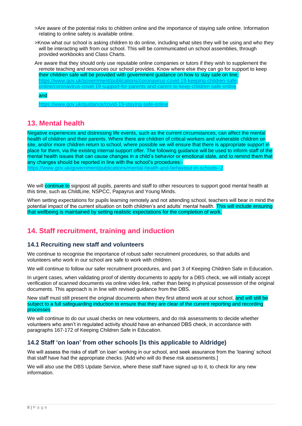- >Are aware of the potential risks to children online and the importance of staying safe online. Information relating to online safety is available online.
- >Know what our school is asking children to do online, including what sites they will be using and who they will be interacting with from our school. This will be communicated un school assemblies, through provided workbooks and Class Charts.

Are aware that they should only use reputable online companies or tutors if they wish to supplement the remote teaching and resources our school provides. Know where else they can go for support to keep their children safe will be provided with government guidance on how to stay safe on line; [https://www.gov.uk/government/publications/coronavirus-covid-19-keeping-children-safe](https://www.gov.uk/government/publications/coronavirus-covid-19-keeping-children-safe-online/coronavirus-covid-19-support-for-parents-and-carers-to-keep-children-safe-online)[online/coronavirus-covid-19-support-for-parents-and-carers-to-keep-children-safe-online](https://www.gov.uk/government/publications/coronavirus-covid-19-keeping-children-safe-online/coronavirus-covid-19-support-for-parents-and-carers-to-keep-children-safe-online)

#### and

<https://www.gov.uk/guidance/covid-19-staying-safe-online>

## <span id="page-7-0"></span>**13. Mental health**

Negative experiences and distressing life events, such as the current circumstances, can affect the mental health of children and their parents. Where there are children of critical workers and vulnerable children on site, and/or more children return to school, where possible we will ensure that there is appropriate support in place for them, via the existing internal support offer. The following guidance will be used to inform staff of the mental health issues that can cause changes in a child's behavior or emotional state, and to remind them that any changes should be reported in line with the school's procedures:-

<https://www.gov.uk/government/publications/mental-health-and-behaviour-in-schools--2>

We will continue to signpost all pupils, parents and staff to other resources to support good mental health at this time, such as ChildLine, NSPCC, Papayrus and Young Minds.

When setting expectations for pupils learning remotely and not attending school, teachers will bear in mind the potential impact of the current situation on both children's and adults' mental health. This will include ensuring that wellbeing is maintained by setting realistic expectations for the completion of work.

## <span id="page-7-1"></span>**14. Staff recruitment, training and induction**

#### **14.1 Recruiting new staff and volunteers**

We continue to recognise the importance of robust safer recruitment procedures, so that adults and volunteers who work in our school are safe to work with children.

We will continue to follow our safer recruitment procedures, and part 3 of Keeping Children Safe in Education.

In urgent cases, when validating proof of identity documents to apply for a DBS check, we will initially accept verification of scanned documents via online video link, rather than being in physical possession of the original documents. This approach is in line with revised guidance from the DBS.

New staff must still present the original documents when they first attend work at our school, and will still be subject to a full safeguarding induction to ensure that they are clear of the current reporting and recording processes

We will continue to do our usual checks on new volunteers, and do risk assessments to decide whether volunteers who aren't in regulated activity should have an enhanced DBS check, in accordance with paragraphs 167-172 of Keeping Children Safe in Education.

#### **14.2 Staff 'on loan' from other schools [Is this applicable to Aldridge)**

We will assess the risks of staff 'on loan' working in our school, and seek assurance from the 'loaning' school that staff have had the appropriate checks. [Add who will do these risk assessments.]

We will also use the DBS Update Service, where these staff have signed up to it, to check for any new information.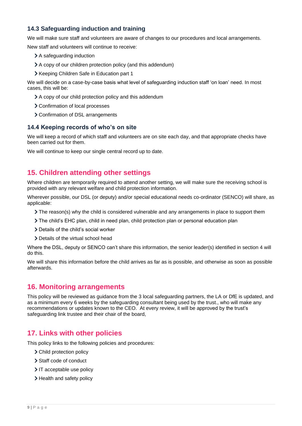## **14.3 Safeguarding induction and training**

We will make sure staff and volunteers are aware of changes to our procedures and local arrangements.

New staff and volunteers will continue to receive:

- > A safequarding induction
- A copy of our children protection policy (and this addendum)
- Xeeping Children Safe in Education part 1

We will decide on a case-by-case basis what level of safeguarding induction staff 'on loan' need. In most cases, this will be:

- A copy of our child protection policy and this addendum
- > Confirmation of local processes
- Confirmation of DSL arrangements

#### **14.4 Keeping records of who's on site**

We will keep a record of which staff and volunteers are on site each day, and that appropriate checks have been carried out for them.

We will continue to keep our single central record up to date.

## <span id="page-8-0"></span>**15. Children attending other settings**

Where children are temporarily required to attend another setting, we will make sure the receiving school is provided with any relevant welfare and child protection information.

Wherever possible, our DSL (or deputy) and/or special educational needs co-ordinator (SENCO) will share, as applicable:

- The reason(s) why the child is considered vulnerable and any arrangements in place to support them
- The child's EHC plan, child in need plan, child protection plan or personal education plan
- > Details of the child's social worker
- > Details of the virtual school head

Where the DSL, deputy or SENCO can't share this information, the senior leader(s) identified in section 4 will do this.

We will share this information before the child arrives as far as is possible, and otherwise as soon as possible afterwards.

## <span id="page-8-1"></span>**16. Monitoring arrangements**

This policy will be reviewed as guidance from the 3 local safeguarding partners, the LA or DfE is updated, and as a minimum every 6 weeks by the safeguarding consultant being used by the trust., who will make any recommendations or updates known to the CEO. At every review, it will be approved by the trust's safeguarding link trustee and their chair of the board,

## <span id="page-8-2"></span>**17. Links with other policies**

This policy links to the following policies and procedures:

- > Child protection policy
- > Staff code of conduct
- > IT acceptable use policy
- > Health and safety policy